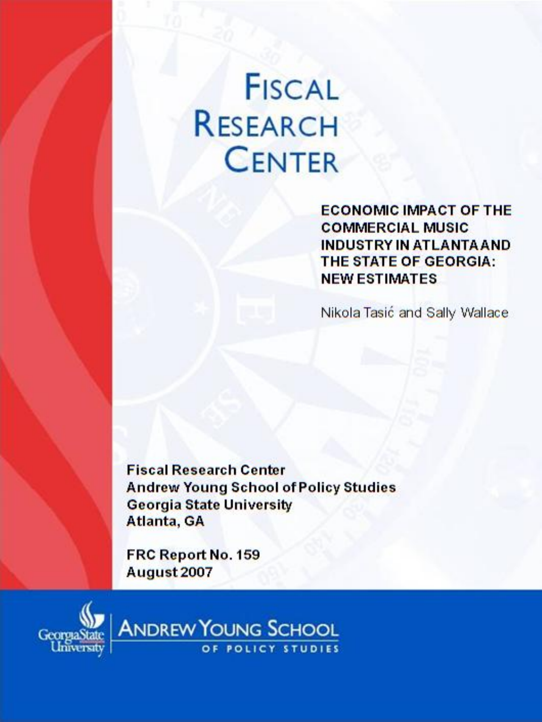# **FISCAL RESEARCH CENTER**

**ECONOMIC IMPACT OF THE COMMERCIAL MUSIC INDUSTRY IN ATLANTA AND** THE STATE OF GEORGIA: **NEW ESTIMATES** 

Nikola Tasić and Sally Wallace

**Fiscal Research Center Andrew Young School of Policy Studies Georgia State University** Atlanta, GA

FRC Report No. 159 August 2007



**ANDREW YOUNG SCHOOL** OF POLICY STUDIES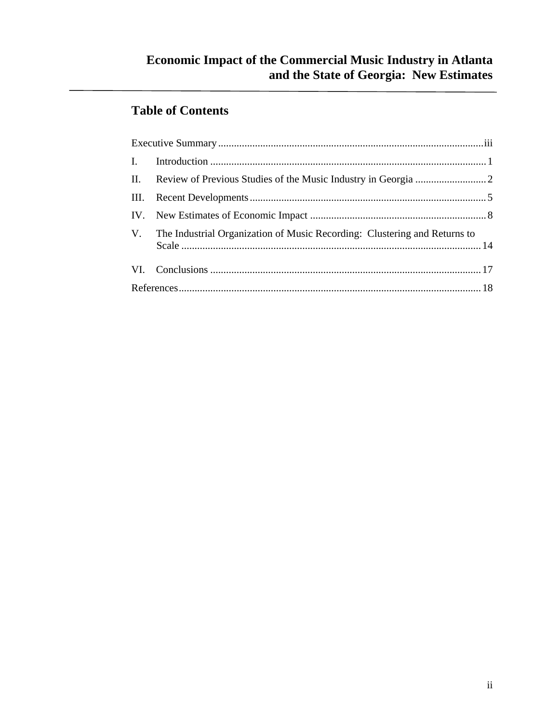## **Table of Contents**

| V. The Industrial Organization of Music Recording: Clustering and Returns to |  |
|------------------------------------------------------------------------------|--|
|                                                                              |  |
|                                                                              |  |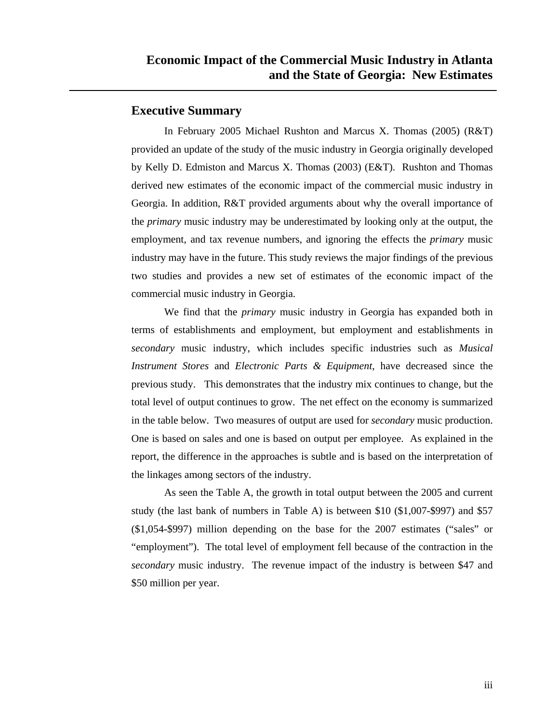#### **Executive Summary**

In February 2005 Michael Rushton and Marcus X. Thomas (2005) (R&T) provided an update of the study of the music industry in Georgia originally developed by Kelly D. Edmiston and Marcus X. Thomas (2003) (E&T). Rushton and Thomas derived new estimates of the economic impact of the commercial music industry in Georgia. In addition, R&T provided arguments about why the overall importance of the *primary* music industry may be underestimated by looking only at the output, the employment, and tax revenue numbers, and ignoring the effects the *primary* music industry may have in the future. This study reviews the major findings of the previous two studies and provides a new set of estimates of the economic impact of the commercial music industry in Georgia.

We find that the *primary* music industry in Georgia has expanded both in terms of establishments and employment, but employment and establishments in *secondary* music industry, which includes specific industries such as *Musical Instrument Stores* and *Electronic Parts & Equipment*, have decreased since the previous study. This demonstrates that the industry mix continues to change, but the total level of output continues to grow. The net effect on the economy is summarized in the table below. Two measures of output are used for *secondary* music production. One is based on sales and one is based on output per employee. As explained in the report, the difference in the approaches is subtle and is based on the interpretation of the linkages among sectors of the industry.

As seen the Table A, the growth in total output between the 2005 and current study (the last bank of numbers in Table A) is between \$10 (\$1,007-\$997) and \$57 (\$1,054-\$997) million depending on the base for the 2007 estimates ("sales" or "employment"). The total level of employment fell because of the contraction in the *secondary* music industry. The revenue impact of the industry is between \$47 and \$50 million per year.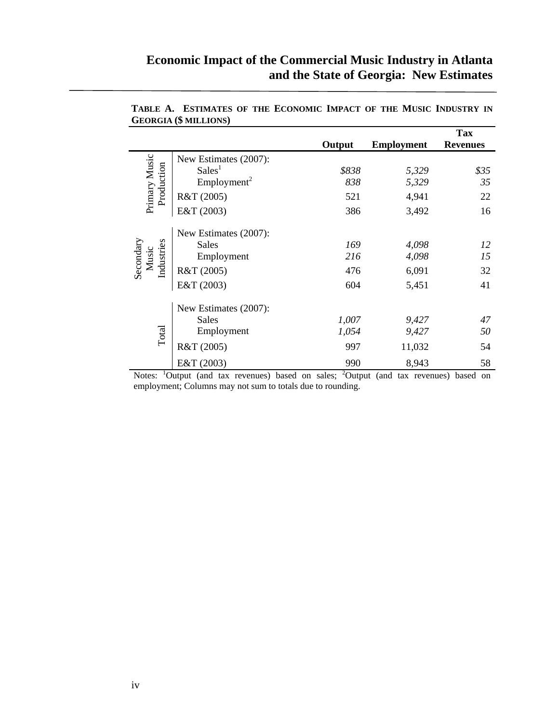|                             |                         |        |                   | <b>Tax</b>      |
|-----------------------------|-------------------------|--------|-------------------|-----------------|
|                             |                         | Output | <b>Employment</b> | <b>Revenues</b> |
|                             | New Estimates (2007):   |        |                   |                 |
|                             | Sales <sup>1</sup>      | \$838  | 5,329             | \$35            |
|                             | Employment <sup>2</sup> | 838    | 5,329             | 35              |
| Primary Music<br>Production | R&T (2005)              | 521    | 4,941             | 22              |
|                             | E&T (2003)              | 386    | 3,492             | 16              |
|                             | New Estimates (2007):   |        |                   |                 |
|                             | <b>Sales</b>            | 169    | 4,098             | 12              |
| Music                       | Employment              | 216    | 4,098             | 15              |
| Industries<br>Secondary     | R&T (2005)              | 476    | 6,091             | 32              |
|                             | E&T (2003)              | 604    | 5,451             | 41              |
|                             | New Estimates (2007):   |        |                   |                 |
|                             | <b>Sales</b>            | 1,007  | 9,427             | 47              |
| Total                       | Employment              | 1,054  | 9,427             | 50              |
|                             | R&T (2005)              | 997    | 11,032            | 54              |
|                             | E&T (2003)              | 990    | 8,943             | 58              |

**TABLE A. ESTIMATES OF THE ECONOMIC IMPACT OF THE MUSIC INDUSTRY IN GEORGIA (\$ MILLIONS)** 

Notes: <sup>1</sup>Output (and tax revenues) based on sales; <sup>2</sup>Output (and tax revenues) based on employment; Columns may not sum to totals due to rounding.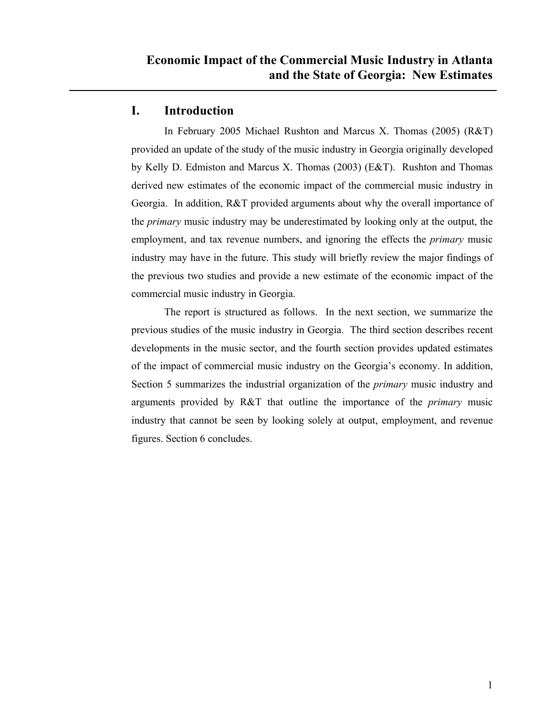#### **I. Introduction**

In February 2005 Michael Rushton and Marcus X. Thomas (2005) (R&T) provided an update of the study of the music industry in Georgia originally developed by Kelly D. Edmiston and Marcus X. Thomas (2003) (E&T). Rushton and Thomas derived new estimates of the economic impact of the commercial music industry in Georgia. In addition, R&T provided arguments about why the overall importance of the *primary* music industry may be underestimated by looking only at the output, the employment, and tax revenue numbers, and ignoring the effects the *primary* music industry may have in the future. This study will briefly review the major findings of the previous two studies and provide a new estimate of the economic impact of the commercial music industry in Georgia.

The report is structured as follows. In the next section, we summarize the previous studies of the music industry in Georgia. The third section describes recent developments in the music sector, and the fourth section provides updated estimates of the impact of commercial music industry on the Georgia's economy. In addition, Section 5 summarizes the industrial organization of the *primary* music industry and arguments provided by R&T that outline the importance of the *primary* music industry that cannot be seen by looking solely at output, employment, and revenue figures. Section 6 concludes.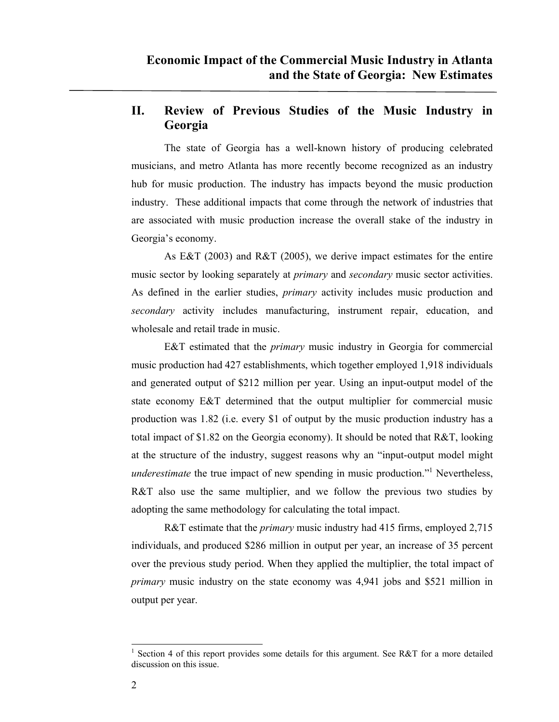## **II. Review of Previous Studies of the Music Industry in Georgia**

The state of Georgia has a well-known history of producing celebrated musicians, and metro Atlanta has more recently become recognized as an industry hub for music production. The industry has impacts beyond the music production industry. These additional impacts that come through the network of industries that are associated with music production increase the overall stake of the industry in Georgia's economy.

As E&T (2003) and R&T (2005), we derive impact estimates for the entire music sector by looking separately at *primary* and *secondary* music sector activities. As defined in the earlier studies, *primary* activity includes music production and *secondary* activity includes manufacturing, instrument repair, education, and wholesale and retail trade in music.

E&T estimated that the *primary* music industry in Georgia for commercial music production had 427 establishments, which together employed 1,918 individuals and generated output of \$212 million per year. Using an input-output model of the state economy E&T determined that the output multiplier for commercial music production was 1.82 (i.e. every \$1 of output by the music production industry has a total impact of \$1.82 on the Georgia economy). It should be noted that R&T, looking at the structure of the industry, suggest reasons why an "input-output model might *underestimate* the true impact of new spending in music production."<sup>1</sup> Nevertheless, R&T also use the same multiplier, and we follow the previous two studies by adopting the same methodology for calculating the total impact.

R&T estimate that the *primary* music industry had 415 firms, employed 2,715 individuals, and produced \$286 million in output per year, an increase of 35 percent over the previous study period. When they applied the multiplier, the total impact of *primary* music industry on the state economy was 4,941 jobs and \$521 million in output per year.

 $\overline{\phantom{a}}$ 

<sup>1</sup> Section 4 of this report provides some details for this argument. See R&T for a more detailed discussion on this issue.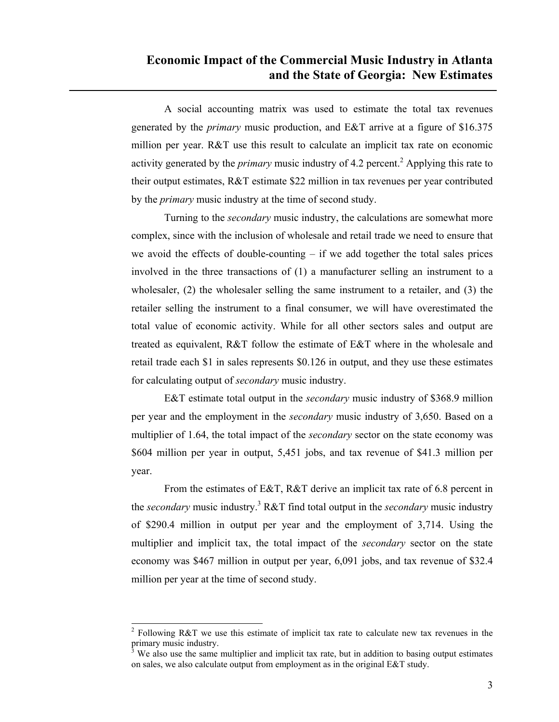A social accounting matrix was used to estimate the total tax revenues generated by the *primary* music production, and E&T arrive at a figure of \$16.375 million per year. R&T use this result to calculate an implicit tax rate on economic activity generated by the *primary* music industry of 4.2 percent.<sup>2</sup> Applying this rate to their output estimates, R&T estimate \$22 million in tax revenues per year contributed by the *primary* music industry at the time of second study.

Turning to the *secondary* music industry, the calculations are somewhat more complex, since with the inclusion of wholesale and retail trade we need to ensure that we avoid the effects of double-counting  $-$  if we add together the total sales prices involved in the three transactions of (1) a manufacturer selling an instrument to a wholesaler, (2) the wholesaler selling the same instrument to a retailer, and (3) the retailer selling the instrument to a final consumer, we will have overestimated the total value of economic activity. While for all other sectors sales and output are treated as equivalent, R&T follow the estimate of E&T where in the wholesale and retail trade each \$1 in sales represents \$0.126 in output, and they use these estimates for calculating output of *secondary* music industry.

E&T estimate total output in the *secondary* music industry of \$368.9 million per year and the employment in the *secondary* music industry of 3,650. Based on a multiplier of 1.64, the total impact of the *secondary* sector on the state economy was \$604 million per year in output, 5,451 jobs, and tax revenue of \$41.3 million per year.

From the estimates of E&T, R&T derive an implicit tax rate of 6.8 percent in the *secondary* music industry.<sup>3</sup> R&T find total output in the *secondary* music industry of \$290.4 million in output per year and the employment of 3,714. Using the multiplier and implicit tax, the total impact of the *secondary* sector on the state economy was \$467 million in output per year, 6,091 jobs, and tax revenue of \$32.4 million per year at the time of second study.

 $\overline{a}$ 

<sup>&</sup>lt;sup>2</sup> Following R&T we use this estimate of implicit tax rate to calculate new tax revenues in the primary music industry.

<sup>3</sup> We also use the same multiplier and implicit tax rate, but in addition to basing output estimates on sales, we also calculate output from employment as in the original E&T study.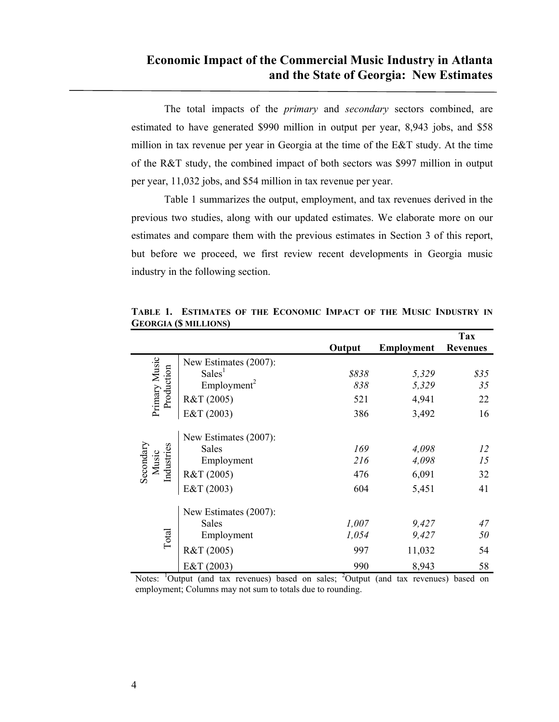The total impacts of the *primary* and *secondary* sectors combined, are estimated to have generated \$990 million in output per year, 8,943 jobs, and \$58 million in tax revenue per year in Georgia at the time of the E&T study. At the time of the R&T study, the combined impact of both sectors was \$997 million in output per year, 11,032 jobs, and \$54 million in tax revenue per year.

Table 1 summarizes the output, employment, and tax revenues derived in the previous two studies, along with our updated estimates. We elaborate more on our estimates and compare them with the previous estimates in Section 3 of this report, but before we proceed, we first review recent developments in Georgia music industry in the following section.

|                                  |                         |        |                   | <b>Tax</b>      |
|----------------------------------|-------------------------|--------|-------------------|-----------------|
|                                  |                         | Output | <b>Employment</b> | <b>Revenues</b> |
|                                  | New Estimates (2007):   |        |                   |                 |
|                                  | Sales <sup>1</sup>      | \$838  | 5,329             | \$35            |
|                                  | Employment <sup>2</sup> | 838    | 5,329             | 35              |
| Primary Music<br>Production      | R&T (2005)              | 521    | 4,941             | 22              |
|                                  | E&T (2003)              | 386    | 3,492             | 16              |
|                                  | New Estimates (2007):   |        |                   |                 |
|                                  | <b>Sales</b>            | 169    | 4,098             | 12              |
|                                  | Employment              | 216    | 4,098             | 15              |
| Secondary<br>Music<br>Industries | R&T (2005)              | 476    | 6,091             | 32              |
|                                  | E&T (2003)              | 604    | 5,451             | 41              |
|                                  | New Estimates (2007):   |        |                   |                 |
|                                  | <b>Sales</b>            | 1,007  | 9,427             | 47              |
| Total                            | Employment              | 1,054  | 9,427             | 50              |
|                                  | R&T (2005)              | 997    | 11,032            | 54              |
|                                  | E&T (2003)              | 990    | 8,943             | 58              |

**TABLE 1. ESTIMATES OF THE ECONOMIC IMPACT OF THE MUSIC INDUSTRY IN GEORGIA (\$ MILLIONS)** 

Notes: <sup>1</sup>Output (and tax revenues) based on sales; <sup>2</sup>Output (and tax revenues) based on employment; Columns may not sum to totals due to rounding.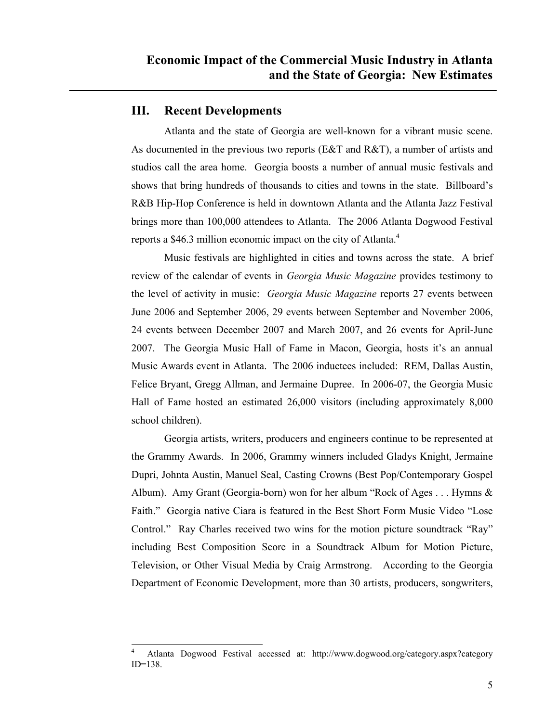#### **III. Recent Developments**

 $\overline{\phantom{a}}$ 

Atlanta and the state of Georgia are well-known for a vibrant music scene. As documented in the previous two reports (E&T and R&T), a number of artists and studios call the area home. Georgia boosts a number of annual music festivals and shows that bring hundreds of thousands to cities and towns in the state. Billboard's R&B Hip-Hop Conference is held in downtown Atlanta and the Atlanta Jazz Festival brings more than 100,000 attendees to Atlanta. The 2006 Atlanta Dogwood Festival reports a \$46.3 million economic impact on the city of Atlanta.<sup>4</sup>

Music festivals are highlighted in cities and towns across the state. A brief review of the calendar of events in *Georgia Music Magazine* provides testimony to the level of activity in music: *Georgia Music Magazine* reports 27 events between June 2006 and September 2006, 29 events between September and November 2006, 24 events between December 2007 and March 2007, and 26 events for April-June 2007. The Georgia Music Hall of Fame in Macon, Georgia, hosts it's an annual Music Awards event in Atlanta. The 2006 inductees included: REM, Dallas Austin, Felice Bryant, Gregg Allman, and Jermaine Dupree. In 2006-07, the Georgia Music Hall of Fame hosted an estimated 26,000 visitors (including approximately 8,000 school children).

Georgia artists, writers, producers and engineers continue to be represented at the Grammy Awards. In 2006, Grammy winners included Gladys Knight, Jermaine Dupri, Johnta Austin, Manuel Seal, Casting Crowns (Best Pop/Contemporary Gospel Album). Amy Grant (Georgia-born) won for her album "Rock of Ages . . . Hymns & Faith." Georgia native Ciara is featured in the Best Short Form Music Video "Lose Control." Ray Charles received two wins for the motion picture soundtrack "Ray" including Best Composition Score in a Soundtrack Album for Motion Picture, Television, or Other Visual Media by Craig Armstrong. According to the Georgia Department of Economic Development, more than 30 artists, producers, songwriters,

<sup>4</sup> Atlanta Dogwood Festival accessed at: http://www.dogwood.org/category.aspx?category ID=138.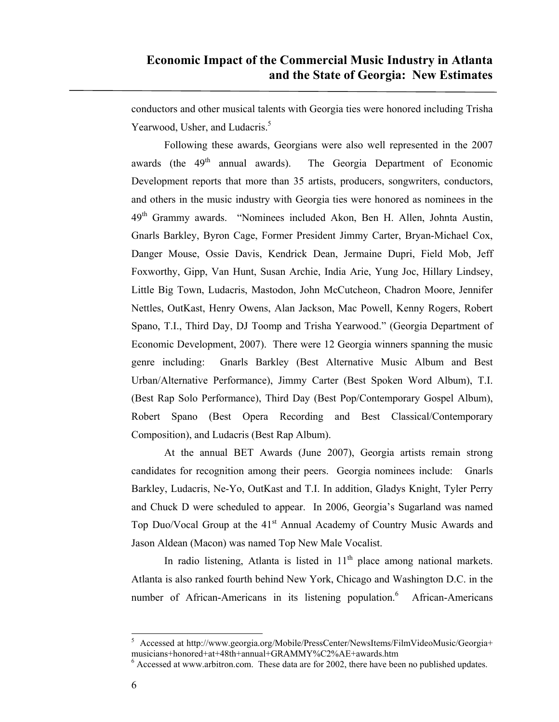conductors and other musical talents with Georgia ties were honored including Trisha Yearwood, Usher, and Ludacris.<sup>5</sup>

Following these awards, Georgians were also well represented in the 2007 awards (the 49<sup>th</sup> annual awards). The Georgia Department of Economic Development reports that more than 35 artists, producers, songwriters, conductors, and others in the music industry with Georgia ties were honored as nominees in the 49<sup>th</sup> Grammy awards. "Nominees included Akon, Ben H. Allen, Johnta Austin, Gnarls Barkley, Byron Cage, Former President Jimmy Carter, Bryan-Michael Cox, Danger Mouse, Ossie Davis, Kendrick Dean, Jermaine Dupri, Field Mob, Jeff Foxworthy, Gipp, Van Hunt, Susan Archie, India Arie, Yung Joc, Hillary Lindsey, Little Big Town, Ludacris, Mastodon, John McCutcheon, Chadron Moore, Jennifer Nettles, OutKast, Henry Owens, Alan Jackson, Mac Powell, Kenny Rogers, Robert Spano, T.I., Third Day, DJ Toomp and Trisha Yearwood." (Georgia Department of Economic Development, 2007). There were 12 Georgia winners spanning the music genre including: Gnarls Barkley (Best Alternative Music Album and Best Urban/Alternative Performance), Jimmy Carter (Best Spoken Word Album), T.I. (Best Rap Solo Performance), Third Day (Best Pop/Contemporary Gospel Album), Robert Spano (Best Opera Recording and Best Classical/Contemporary Composition), and Ludacris (Best Rap Album).

At the annual BET Awards (June 2007), Georgia artists remain strong candidates for recognition among their peers. Georgia nominees include: Gnarls Barkley, Ludacris, Ne-Yo, OutKast and T.I. In addition, Gladys Knight, Tyler Perry and Chuck D were scheduled to appear. In 2006, Georgia's Sugarland was named Top Duo/Vocal Group at the 41<sup>st</sup> Annual Academy of Country Music Awards and Jason Aldean (Macon) was named Top New Male Vocalist.

In radio listening, Atlanta is listed in  $11<sup>th</sup>$  place among national markets. Atlanta is also ranked fourth behind New York, Chicago and Washington D.C. in the number of African-Americans in its listening population.<sup>6</sup> African-Americans

 $\overline{\phantom{a}}$ 

<sup>&</sup>lt;sup>5</sup> Accessed at http://www.georgia.org/Mobile/PressCenter/NewsItems/FilmVideoMusic/Georgia+ musicians+honored+at+48th+annual+GRAMMY%C2%AE+awards.htm

 $<sup>6</sup>$  Accessed at www.arbitron.com. These data are for 2002, there have been no published updates.</sup>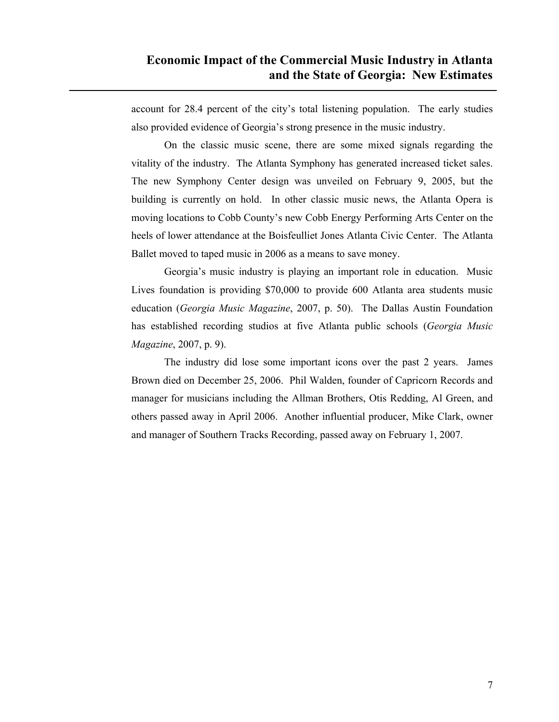account for 28.4 percent of the city's total listening population. The early studies also provided evidence of Georgia's strong presence in the music industry.

On the classic music scene, there are some mixed signals regarding the vitality of the industry. The Atlanta Symphony has generated increased ticket sales. The new Symphony Center design was unveiled on February 9, 2005, but the building is currently on hold. In other classic music news, the Atlanta Opera is moving locations to Cobb County's new Cobb Energy Performing Arts Center on the heels of lower attendance at the Boisfeulliet Jones Atlanta Civic Center. The Atlanta Ballet moved to taped music in 2006 as a means to save money.

Georgia's music industry is playing an important role in education. Music Lives foundation is providing \$70,000 to provide 600 Atlanta area students music education (*Georgia Music Magazine*, 2007, p. 50). The Dallas Austin Foundation has established recording studios at five Atlanta public schools (*Georgia Music Magazine*, 2007, p. 9).

The industry did lose some important icons over the past 2 years. James Brown died on December 25, 2006. Phil Walden, founder of Capricorn Records and manager for musicians including the Allman Brothers, Otis Redding, Al Green, and others passed away in April 2006. Another influential producer, Mike Clark, owner and manager of Southern Tracks Recording, passed away on February 1, 2007.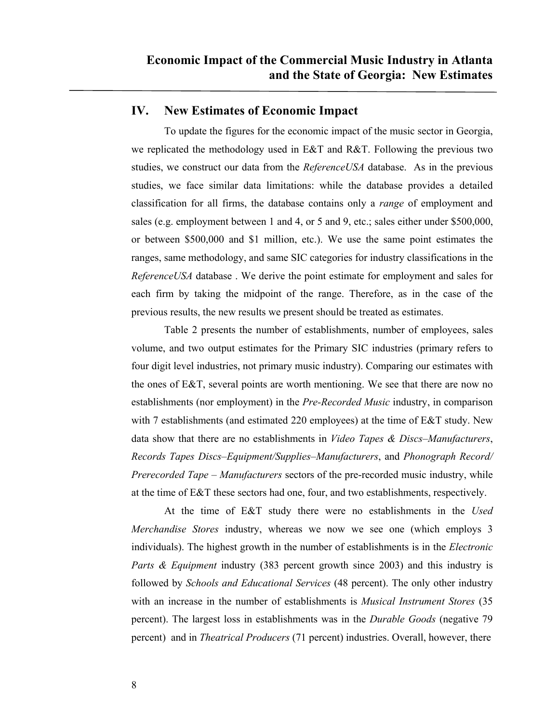#### **IV. New Estimates of Economic Impact**

To update the figures for the economic impact of the music sector in Georgia, we replicated the methodology used in E&T and R&T. Following the previous two studies, we construct our data from the *ReferenceUSA* database. As in the previous studies, we face similar data limitations: while the database provides a detailed classification for all firms, the database contains only a *range* of employment and sales (e.g. employment between 1 and 4, or 5 and 9, etc.; sales either under \$500,000, or between \$500,000 and \$1 million, etc.). We use the same point estimates the ranges, same methodology, and same SIC categories for industry classifications in the *ReferenceUSA* database . We derive the point estimate for employment and sales for each firm by taking the midpoint of the range. Therefore, as in the case of the previous results, the new results we present should be treated as estimates.

Table 2 presents the number of establishments, number of employees, sales volume, and two output estimates for the Primary SIC industries (primary refers to four digit level industries, not primary music industry). Comparing our estimates with the ones of E&T, several points are worth mentioning. We see that there are now no establishments (nor employment) in the *Pre-Recorded Music* industry, in comparison with 7 establishments (and estimated 220 employees) at the time of E&T study. New data show that there are no establishments in *Video Tapes & Discs–Manufacturers*, *Records Tapes Discs–Equipment/Supplies–Manufacturers*, and *Phonograph Record/ Prerecorded Tape – Manufacturers* sectors of the pre-recorded music industry, while at the time of E&T these sectors had one, four, and two establishments, respectively.

At the time of E&T study there were no establishments in the *Used Merchandise Stores* industry, whereas we now we see one (which employs 3 individuals). The highest growth in the number of establishments is in the *Electronic Parts & Equipment* industry (383 percent growth since 2003) and this industry is followed by *Schools and Educational Services* (48 percent). The only other industry with an increase in the number of establishments is *Musical Instrument Stores* (35 percent). The largest loss in establishments was in the *Durable Goods* (negative 79 percent) and in *Theatrical Producers* (71 percent) industries. Overall, however, there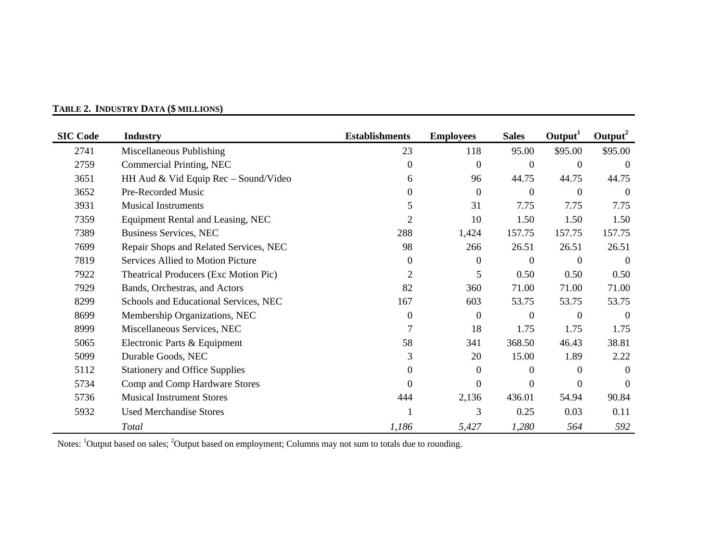| <b>SIC Code</b> | <b>Industry</b>                              | <b>Establishments</b> | <b>Employees</b> | <b>Sales</b>     | Output <sup>1</sup> | $Output^2$ |
|-----------------|----------------------------------------------|-----------------------|------------------|------------------|---------------------|------------|
| 2741            | Miscellaneous Publishing                     | 23                    | 118              | 95.00            | \$95.00             | \$95.00    |
| 2759            | Commercial Printing, NEC                     | $\Omega$              | $\overline{0}$   | $\overline{0}$   | $\theta$            | $\theta$   |
| 3651            | HH Aud & Vid Equip Rec - Sound/Video         | 6                     | 96               | 44.75            | 44.75               | 44.75      |
| 3652            | Pre-Recorded Music                           | 0                     | $\mathbf{0}$     | $\overline{0}$   | $\mathbf{0}$        | $\Omega$   |
| 3931            | <b>Musical Instruments</b>                   | 5                     | 31               | 7.75             | 7.75                | 7.75       |
| 7359            | Equipment Rental and Leasing, NEC            | 2                     | 10               | 1.50             | 1.50                | 1.50       |
| 7389            | <b>Business Services, NEC</b>                | 288                   | 1,424            | 157.75           | 157.75              | 157.75     |
| 7699            | Repair Shops and Related Services, NEC       | 98                    | 266              | 26.51            | 26.51               | 26.51      |
| 7819            | Services Allied to Motion Picture            | $\Omega$              | $\overline{0}$   | $\Omega$         | $\Omega$            | $\Omega$   |
| 7922            | <b>Theatrical Producers (Exc Motion Pic)</b> | $\overline{2}$        | 5                | 0.50             | 0.50                | 0.50       |
| 7929            | Bands, Orchestras, and Actors                | 82                    | 360              | 71.00            | 71.00               | 71.00      |
| 8299            | Schools and Educational Services, NEC        | 167                   | 603              | 53.75            | 53.75               | 53.75      |
| 8699            | Membership Organizations, NEC                | $\Omega$              | $\overline{0}$   | $\boldsymbol{0}$ | $\boldsymbol{0}$    | $\theta$   |
| 8999            | Miscellaneous Services, NEC                  |                       | 18               | 1.75             | 1.75                | 1.75       |
| 5065            | Electronic Parts & Equipment                 | 58                    | 341              | 368.50           | 46.43               | 38.81      |
| 5099            | Durable Goods, NEC                           | 3                     | 20               | 15.00            | 1.89                | 2.22       |
| 5112            | <b>Stationery and Office Supplies</b>        | 0                     | $\overline{0}$   | $\Omega$         | $\theta$            | $\theta$   |
| 5734            | Comp and Comp Hardware Stores                | $\Omega$              | $\overline{0}$   | $\overline{0}$   | $\Omega$            | $\Omega$   |
| 5736            | <b>Musical Instrument Stores</b>             | 444                   | 2,136            | 436.01           | 54.94               | 90.84      |
| 5932            | <b>Used Merchandise Stores</b>               |                       | 3                | 0.25             | 0.03                | 0.11       |
|                 | Total                                        | 1,186                 | 5,427            | 1,280            | 564                 | 592        |

#### **TABLE 2. INDUSTRY DATA (\$ MILLIONS)**

Notes: 1Output based on sales; 2Output based on employment; Columns may not sum to totals due to rounding.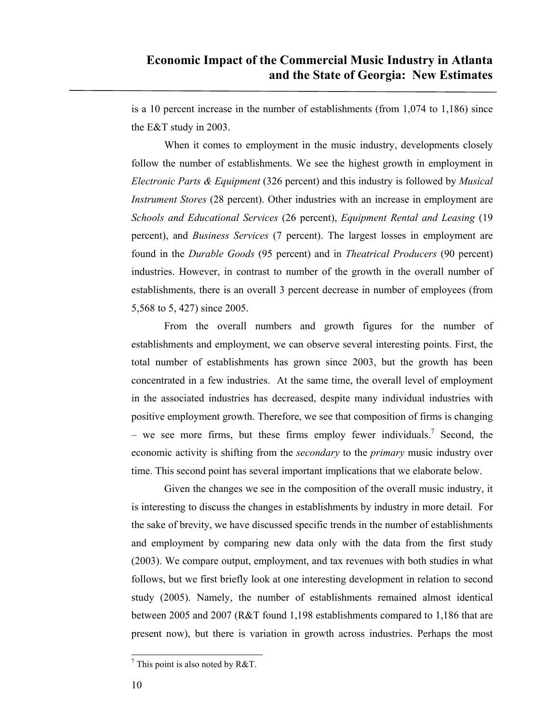is a 10 percent increase in the number of establishments (from 1,074 to 1,186) since the E&T study in 2003.

When it comes to employment in the music industry, developments closely follow the number of establishments. We see the highest growth in employment in *Electronic Parts & Equipment* (326 percent) and this industry is followed by *Musical Instrument Stores* (28 percent). Other industries with an increase in employment are *Schools and Educational Services* (26 percent), *Equipment Rental and Leasing* (19 percent), and *Business Services* (7 percent). The largest losses in employment are found in the *Durable Goods* (95 percent) and in *Theatrical Producers* (90 percent) industries. However, in contrast to number of the growth in the overall number of establishments, there is an overall 3 percent decrease in number of employees (from 5,568 to 5, 427) since 2005.

From the overall numbers and growth figures for the number of establishments and employment, we can observe several interesting points. First, the total number of establishments has grown since 2003, but the growth has been concentrated in a few industries. At the same time, the overall level of employment in the associated industries has decreased, despite many individual industries with positive employment growth. Therefore, we see that composition of firms is changing – we see more firms, but these firms employ fewer individuals.<sup>7</sup> Second, the economic activity is shifting from the *secondary* to the *primary* music industry over time. This second point has several important implications that we elaborate below.

Given the changes we see in the composition of the overall music industry, it is interesting to discuss the changes in establishments by industry in more detail. For the sake of brevity, we have discussed specific trends in the number of establishments and employment by comparing new data only with the data from the first study (2003). We compare output, employment, and tax revenues with both studies in what follows, but we first briefly look at one interesting development in relation to second study (2005). Namely, the number of establishments remained almost identical between 2005 and 2007 (R&T found 1,198 establishments compared to 1,186 that are present now), but there is variation in growth across industries. Perhaps the most

 $\overline{a}$ 

<sup>&</sup>lt;sup>7</sup> This point is also noted by R&T.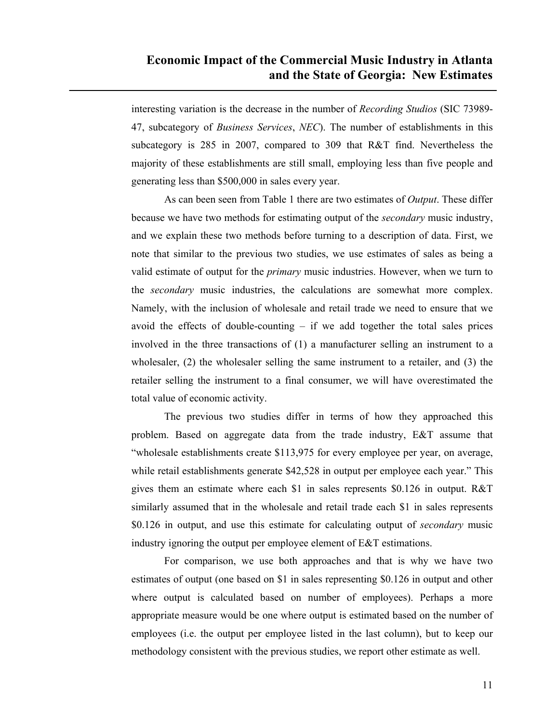interesting variation is the decrease in the number of *Recording Studios* (SIC 73989- 47, subcategory of *Business Services*, *NEC*). The number of establishments in this subcategory is 285 in 2007, compared to 309 that R&T find. Nevertheless the majority of these establishments are still small, employing less than five people and generating less than \$500,000 in sales every year.

As can been seen from Table 1 there are two estimates of *Output*. These differ because we have two methods for estimating output of the *secondary* music industry, and we explain these two methods before turning to a description of data. First, we note that similar to the previous two studies, we use estimates of sales as being a valid estimate of output for the *primary* music industries. However, when we turn to the *secondary* music industries, the calculations are somewhat more complex. Namely, with the inclusion of wholesale and retail trade we need to ensure that we avoid the effects of double-counting  $-$  if we add together the total sales prices involved in the three transactions of (1) a manufacturer selling an instrument to a wholesaler, (2) the wholesaler selling the same instrument to a retailer, and (3) the retailer selling the instrument to a final consumer, we will have overestimated the total value of economic activity.

The previous two studies differ in terms of how they approached this problem. Based on aggregate data from the trade industry, E&T assume that "wholesale establishments create \$113,975 for every employee per year, on average, while retail establishments generate \$42,528 in output per employee each year." This gives them an estimate where each \$1 in sales represents \$0.126 in output. R&T similarly assumed that in the wholesale and retail trade each \$1 in sales represents \$0.126 in output, and use this estimate for calculating output of *secondary* music industry ignoring the output per employee element of E&T estimations.

For comparison, we use both approaches and that is why we have two estimates of output (one based on \$1 in sales representing \$0.126 in output and other where output is calculated based on number of employees). Perhaps a more appropriate measure would be one where output is estimated based on the number of employees (i.e. the output per employee listed in the last column), but to keep our methodology consistent with the previous studies, we report other estimate as well.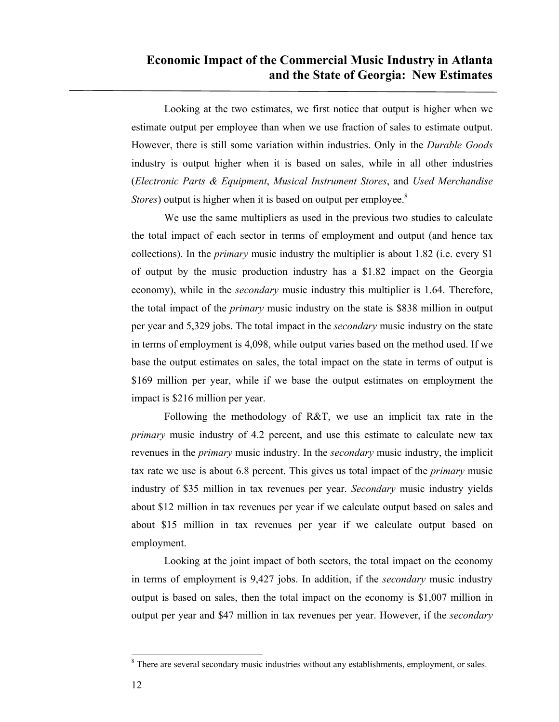Looking at the two estimates, we first notice that output is higher when we estimate output per employee than when we use fraction of sales to estimate output. However, there is still some variation within industries. Only in the *Durable Goods* industry is output higher when it is based on sales, while in all other industries (*Electronic Parts & Equipment*, *Musical Instrument Stores*, and *Used Merchandise Stores*) output is higher when it is based on output per employee.<sup>8</sup>

We use the same multipliers as used in the previous two studies to calculate the total impact of each sector in terms of employment and output (and hence tax collections). In the *primary* music industry the multiplier is about 1.82 (i.e. every \$1 of output by the music production industry has a \$1.82 impact on the Georgia economy), while in the *secondary* music industry this multiplier is 1.64. Therefore, the total impact of the *primary* music industry on the state is \$838 million in output per year and 5,329 jobs. The total impact in the *secondary* music industry on the state in terms of employment is 4,098, while output varies based on the method used. If we base the output estimates on sales, the total impact on the state in terms of output is \$169 million per year, while if we base the output estimates on employment the impact is \$216 million per year.

Following the methodology of R&T, we use an implicit tax rate in the *primary* music industry of 4.2 percent, and use this estimate to calculate new tax revenues in the *primary* music industry. In the *secondary* music industry, the implicit tax rate we use is about 6.8 percent. This gives us total impact of the *primary* music industry of \$35 million in tax revenues per year. *Secondary* music industry yields about \$12 million in tax revenues per year if we calculate output based on sales and about \$15 million in tax revenues per year if we calculate output based on employment.

Looking at the joint impact of both sectors, the total impact on the economy in terms of employment is 9,427 jobs. In addition, if the *secondary* music industry output is based on sales, then the total impact on the economy is \$1,007 million in output per year and \$47 million in tax revenues per year. However, if the *secondary*

 $\overline{a}$ 

<sup>&</sup>lt;sup>8</sup> There are several secondary music industries without any establishments, employment, or sales.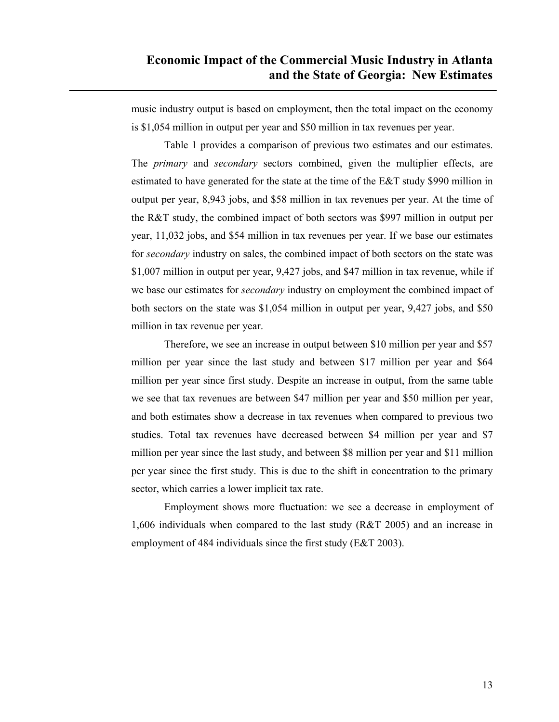music industry output is based on employment, then the total impact on the economy is \$1,054 million in output per year and \$50 million in tax revenues per year.

Table 1 provides a comparison of previous two estimates and our estimates. The *primary* and *secondary* sectors combined, given the multiplier effects, are estimated to have generated for the state at the time of the E&T study \$990 million in output per year, 8,943 jobs, and \$58 million in tax revenues per year. At the time of the R&T study, the combined impact of both sectors was \$997 million in output per year, 11,032 jobs, and \$54 million in tax revenues per year. If we base our estimates for *secondary* industry on sales, the combined impact of both sectors on the state was \$1,007 million in output per year, 9,427 jobs, and \$47 million in tax revenue, while if we base our estimates for *secondary* industry on employment the combined impact of both sectors on the state was \$1,054 million in output per year, 9,427 jobs, and \$50 million in tax revenue per year.

Therefore, we see an increase in output between \$10 million per year and \$57 million per year since the last study and between \$17 million per year and \$64 million per year since first study. Despite an increase in output, from the same table we see that tax revenues are between \$47 million per year and \$50 million per year, and both estimates show a decrease in tax revenues when compared to previous two studies. Total tax revenues have decreased between \$4 million per year and \$7 million per year since the last study, and between \$8 million per year and \$11 million per year since the first study. This is due to the shift in concentration to the primary sector, which carries a lower implicit tax rate.

Employment shows more fluctuation: we see a decrease in employment of 1,606 individuals when compared to the last study (R&T 2005) and an increase in employment of 484 individuals since the first study (E&T 2003).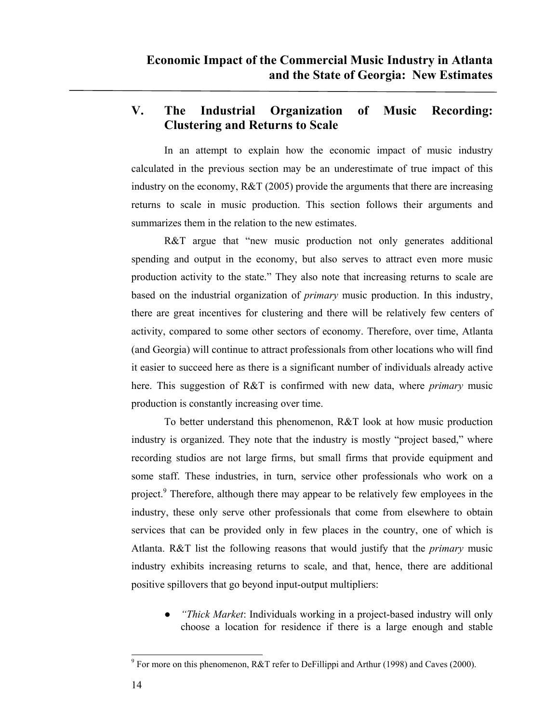## **V. The Industrial Organization of Music Recording: Clustering and Returns to Scale**

In an attempt to explain how the economic impact of music industry calculated in the previous section may be an underestimate of true impact of this industry on the economy, R&T (2005) provide the arguments that there are increasing returns to scale in music production. This section follows their arguments and summarizes them in the relation to the new estimates.

R&T argue that "new music production not only generates additional spending and output in the economy, but also serves to attract even more music production activity to the state." They also note that increasing returns to scale are based on the industrial organization of *primary* music production. In this industry, there are great incentives for clustering and there will be relatively few centers of activity, compared to some other sectors of economy. Therefore, over time, Atlanta (and Georgia) will continue to attract professionals from other locations who will find it easier to succeed here as there is a significant number of individuals already active here. This suggestion of R&T is confirmed with new data, where *primary* music production is constantly increasing over time.

To better understand this phenomenon, R&T look at how music production industry is organized. They note that the industry is mostly "project based," where recording studios are not large firms, but small firms that provide equipment and some staff. These industries, in turn, service other professionals who work on a project.<sup>9</sup> Therefore, although there may appear to be relatively few employees in the industry, these only serve other professionals that come from elsewhere to obtain services that can be provided only in few places in the country, one of which is Atlanta. R&T list the following reasons that would justify that the *primary* music industry exhibits increasing returns to scale, and that, hence, there are additional positive spillovers that go beyond input-output multipliers:

*● "Thick Market*: Individuals working in a project-based industry will only choose a location for residence if there is a large enough and stable

 $\overline{a}$ <sup>9</sup> For more on this phenomenon, R&T refer to DeFillippi and Arthur (1998) and Caves (2000).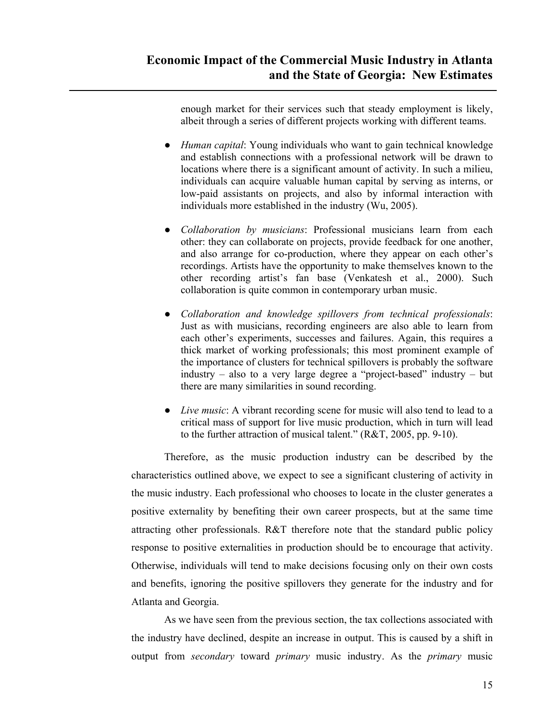enough market for their services such that steady employment is likely, albeit through a series of different projects working with different teams.

- *● Human capital*: Young individuals who want to gain technical knowledge and establish connections with a professional network will be drawn to locations where there is a significant amount of activity. In such a milieu, individuals can acquire valuable human capital by serving as interns, or low-paid assistants on projects, and also by informal interaction with individuals more established in the industry (Wu, 2005).
- *● Collaboration by musicians*: Professional musicians learn from each other: they can collaborate on projects, provide feedback for one another, and also arrange for co-production, where they appear on each other's recordings. Artists have the opportunity to make themselves known to the other recording artist's fan base (Venkatesh et al., 2000). Such collaboration is quite common in contemporary urban music.
- *● Collaboration and knowledge spillovers from technical professionals*: Just as with musicians, recording engineers are also able to learn from each other's experiments, successes and failures. Again, this requires a thick market of working professionals; this most prominent example of the importance of clusters for technical spillovers is probably the software industry – also to a very large degree a "project-based" industry – but there are many similarities in sound recording.
- *● Live music*: A vibrant recording scene for music will also tend to lead to a critical mass of support for live music production, which in turn will lead to the further attraction of musical talent." (R&T, 2005, pp. 9-10).

Therefore, as the music production industry can be described by the characteristics outlined above, we expect to see a significant clustering of activity in the music industry. Each professional who chooses to locate in the cluster generates a positive externality by benefiting their own career prospects, but at the same time attracting other professionals. R&T therefore note that the standard public policy response to positive externalities in production should be to encourage that activity. Otherwise, individuals will tend to make decisions focusing only on their own costs and benefits, ignoring the positive spillovers they generate for the industry and for Atlanta and Georgia.

As we have seen from the previous section, the tax collections associated with the industry have declined, despite an increase in output. This is caused by a shift in output from *secondary* toward *primary* music industry. As the *primary* music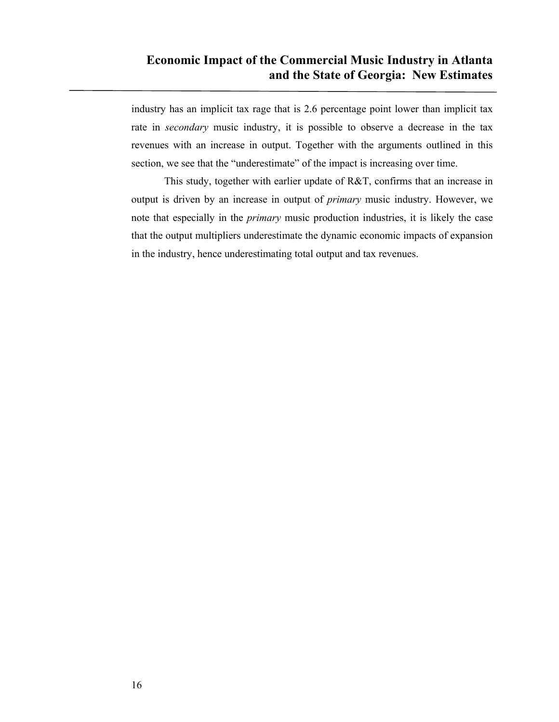industry has an implicit tax rage that is 2.6 percentage point lower than implicit tax rate in *secondary* music industry, it is possible to observe a decrease in the tax revenues with an increase in output. Together with the arguments outlined in this section, we see that the "underestimate" of the impact is increasing over time.

This study, together with earlier update of R&T, confirms that an increase in output is driven by an increase in output of *primary* music industry. However, we note that especially in the *primary* music production industries, it is likely the case that the output multipliers underestimate the dynamic economic impacts of expansion in the industry, hence underestimating total output and tax revenues.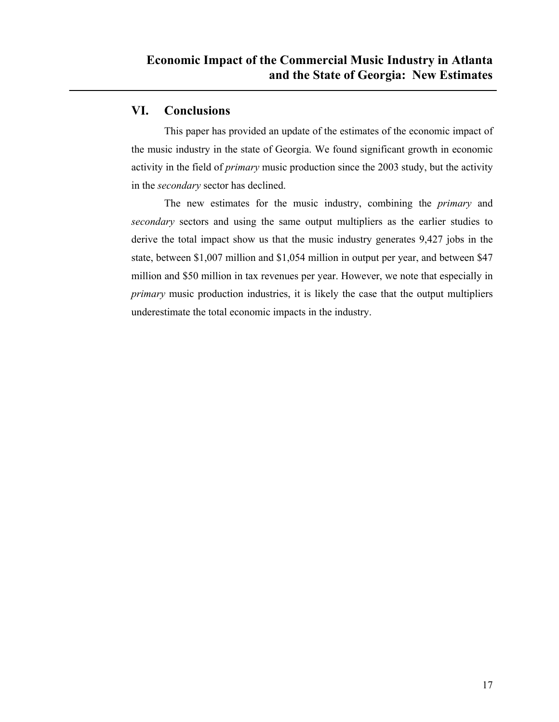#### **VI. Conclusions**

This paper has provided an update of the estimates of the economic impact of the music industry in the state of Georgia. We found significant growth in economic activity in the field of *primary* music production since the 2003 study, but the activity in the *secondary* sector has declined.

The new estimates for the music industry, combining the *primary* and *secondary* sectors and using the same output multipliers as the earlier studies to derive the total impact show us that the music industry generates 9,427 jobs in the state, between \$1,007 million and \$1,054 million in output per year, and between \$47 million and \$50 million in tax revenues per year. However, we note that especially in *primary* music production industries, it is likely the case that the output multipliers underestimate the total economic impacts in the industry.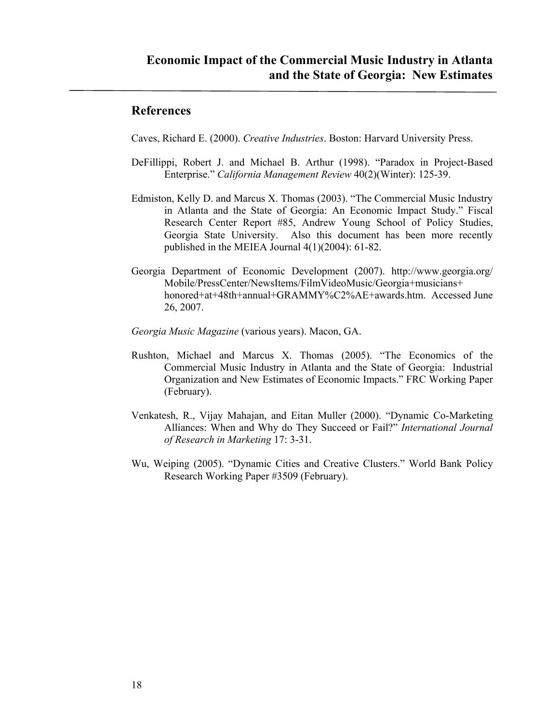#### **References**

Caves, Richard E. (2000). *Creative Industries*. Boston: Harvard University Press.

- DeFillippi, Robert J. and Michael B. Arthur (1998). "Paradox in Project-Based Enterprise." *California Management Review* 40(2)(Winter): 125-39.
- Edmiston, Kelly D. and Marcus X. Thomas (2003). "The Commercial Music Industry in Atlanta and the State of Georgia: An Economic Impact Study." Fiscal Research Center Report #85, Andrew Young School of Policy Studies, Georgia State University. Also this document has been more recently published in the MEIEA Journal 4(1)(2004): 61-82.
- Georgia Department of Economic Development (2007). http://www.georgia.org/ Mobile/PressCenter/NewsItems/FilmVideoMusic/Georgia+musicians+ honored+at+48th+annual+GRAMMY%C2%AE+awards.htm. Accessed June 26, 2007.
- *Georgia Music Magazine* (various years). Macon, GA.
- Rushton, Michael and Marcus X. Thomas (2005). "The Economics of the Commercial Music Industry in Atlanta and the State of Georgia: Industrial Organization and New Estimates of Economic Impacts." FRC Working Paper (February).
- Venkatesh, R., Vijay Mahajan, and Eitan Muller (2000). "Dynamic Co-Marketing Alliances: When and Why do They Succeed or Fail?" *International Journal of Research in Marketing* 17: 3-31.
- Wu, Weiping (2005). "Dynamic Cities and Creative Clusters." World Bank Policy Research Working Paper #3509 (February).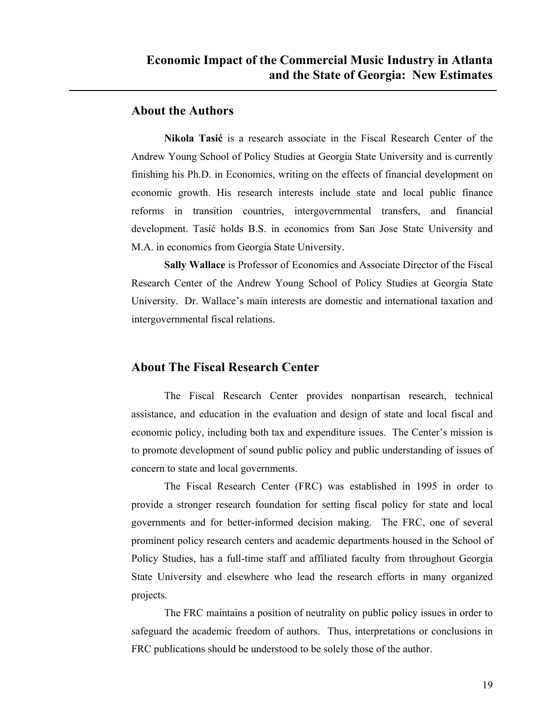#### **About the Authors**

**Nikola Tasić** is a research associate in the Fiscal Research Center of the Andrew Young School of Policy Studies at Georgia State University and is currently finishing his Ph.D. in Economics, writing on the effects of financial development on economic growth. His research interests include state and local public finance reforms in transition countries, intergovernmental transfers, and financial development. Tasić holds B.S. in economics from San Jose State University and M.A. in economics from Georgia State University.

**Sally Wallace** is Professor of Economics and Associate Director of the Fiscal Research Center of the Andrew Young School of Policy Studies at Georgia State University. Dr. Wallace's main interests are domestic and international taxation and intergovernmental fiscal relations.

#### **About The Fiscal Research Center**

 The Fiscal Research Center provides nonpartisan research, technical assistance, and education in the evaluation and design of state and local fiscal and economic policy, including both tax and expenditure issues. The Center's mission is to promote development of sound public policy and public understanding of issues of concern to state and local governments.

 The Fiscal Research Center (FRC) was established in 1995 in order to provide a stronger research foundation for setting fiscal policy for state and local governments and for better-informed decision making. The FRC, one of several prominent policy research centers and academic departments housed in the School of Policy Studies, has a full-time staff and affiliated faculty from throughout Georgia State University and elsewhere who lead the research efforts in many organized projects.

 The FRC maintains a position of neutrality on public policy issues in order to safeguard the academic freedom of authors. Thus, interpretations or conclusions in FRC publications should be understood to be solely those of the author.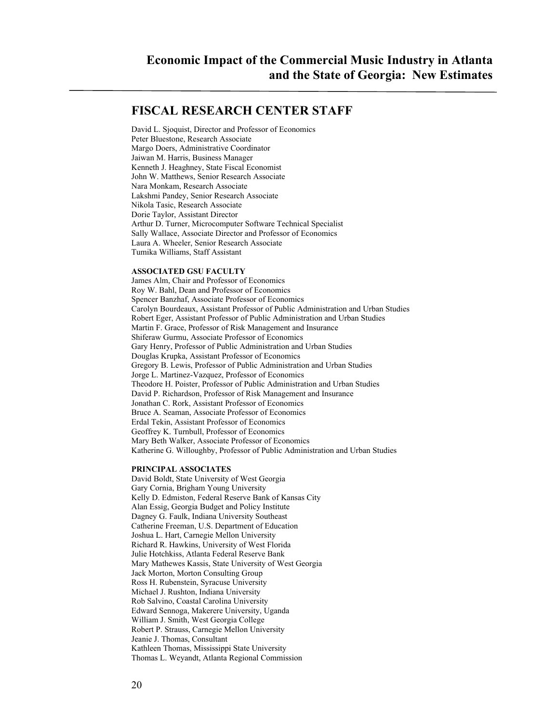#### **FISCAL RESEARCH CENTER STAFF**

David L. Sjoquist, Director and Professor of Economics Peter Bluestone, Research Associate Margo Doers, Administrative Coordinator Jaiwan M. Harris, Business Manager Kenneth J. Heaghney, State Fiscal Economist John W. Matthews, Senior Research Associate Nara Monkam, Research Associate Lakshmi Pandey, Senior Research Associate Nikola Tasic, Research Associate Dorie Taylor, Assistant Director Arthur D. Turner, Microcomputer Software Technical Specialist Sally Wallace, Associate Director and Professor of Economics Laura A. Wheeler, Senior Research Associate Tumika Williams, Staff Assistant

#### **ASSOCIATED GSU FACULTY**

James Alm, Chair and Professor of Economics Roy W. Bahl, Dean and Professor of Economics Spencer Banzhaf, Associate Professor of Economics Carolyn Bourdeaux, Assistant Professor of Public Administration and Urban Studies Robert Eger, Assistant Professor of Public Administration and Urban Studies Martin F. Grace, Professor of Risk Management and Insurance Shiferaw Gurmu, Associate Professor of Economics Gary Henry, Professor of Public Administration and Urban Studies Douglas Krupka, Assistant Professor of Economics Gregory B. Lewis, Professor of Public Administration and Urban Studies Jorge L. Martinez-Vazquez, Professor of Economics Theodore H. Poister, Professor of Public Administration and Urban Studies David P. Richardson, Professor of Risk Management and Insurance Jonathan C. Rork, Assistant Professor of Economics Bruce A. Seaman, Associate Professor of Economics Erdal Tekin, Assistant Professor of Economics Geoffrey K. Turnbull, Professor of Economics Mary Beth Walker, Associate Professor of Economics Katherine G. Willoughby, Professor of Public Administration and Urban Studies

#### **PRINCIPAL ASSOCIATES**

David Boldt, State University of West Georgia Gary Cornia, Brigham Young University Kelly D. Edmiston, Federal Reserve Bank of Kansas City Alan Essig, Georgia Budget and Policy Institute Dagney G. Faulk, Indiana University Southeast Catherine Freeman, U.S. Department of Education Joshua L. Hart, Carnegie Mellon University Richard R. Hawkins, University of West Florida Julie Hotchkiss, Atlanta Federal Reserve Bank Mary Mathewes Kassis, State University of West Georgia Jack Morton, Morton Consulting Group Ross H. Rubenstein, Syracuse University Michael J. Rushton, Indiana University Rob Salvino, Coastal Carolina University Edward Sennoga, Makerere University, Uganda William J. Smith, West Georgia College Robert P. Strauss, Carnegie Mellon University Jeanie J. Thomas, Consultant Kathleen Thomas, Mississippi State University Thomas L. Weyandt, Atlanta Regional Commission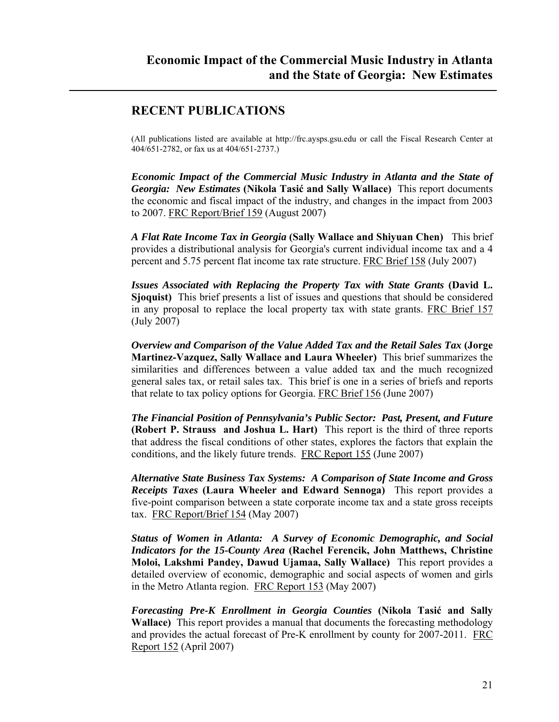## **RECENT PUBLICATIONS**

(All publications listed are available at http://frc.aysps.gsu.edu or call the Fiscal Research Center at 404/651-2782, or fax us at 404/651-2737.)

*Economic Impact of the Commercial Music Industry in Atlanta and the State of Georgia: New Estimates* **(Nikola Tasić and Sally Wallace)** This report documents the economic and fiscal impact of the industry, and changes in the impact from 2003 to 2007. FRC Report/Brief 159 (August 2007)

*A Flat Rate Income Tax in Georgia* **(Sally Wallace and Shiyuan Chen)** This brief provides a distributional analysis for Georgia's current individual income tax and a 4 percent and 5.75 percent flat income tax rate structure. FRC Brief 158 (July 2007)

*Issues Associated with Replacing the Property Tax with State Grants* **(David L. Sjoquist)** This brief presents a list of issues and questions that should be considered in any proposal to replace the local property tax with state grants. FRC Brief 157 (July 2007)

*Overview and Comparison of the Value Added Tax and the Retail Sales Tax* **(Jorge Martinez-Vazquez, Sally Wallace and Laura Wheeler)** This brief summarizes the similarities and differences between a value added tax and the much recognized general sales tax, or retail sales tax. This brief is one in a series of briefs and reports that relate to tax policy options for Georgia. FRC Brief 156 (June 2007)

*The Financial Position of Pennsylvania's Public Sector: Past, Present, and Future* **(Robert P. Strauss and Joshua L. Hart)** This report is the third of three reports that address the fiscal conditions of other states, explores the factors that explain the conditions, and the likely future trends. FRC Report 155 (June 2007)

*Alternative State Business Tax Systems: A Comparison of State Income and Gross Receipts Taxes* **(Laura Wheeler and Edward Sennoga)** This report provides a five-point comparison between a state corporate income tax and a state gross receipts tax. FRC Report/Brief 154 (May 2007)

*Status of Women in Atlanta: A Survey of Economic Demographic, and Social Indicators for the 15-County Area* **(Rachel Ferencik, John Matthews, Christine Moloi, Lakshmi Pandey, Dawud Ujamaa, Sally Wallace)** This report provides a detailed overview of economic, demographic and social aspects of women and girls in the Metro Atlanta region. FRC Report 153 (May 2007)

*Forecasting Pre-K Enrollment in Georgia Counties* **(Nikola Tasić and Sally Wallace)** This report provides a manual that documents the forecasting methodology and provides the actual forecast of Pre-K enrollment by county for 2007-2011. FRC Report 152 (April 2007)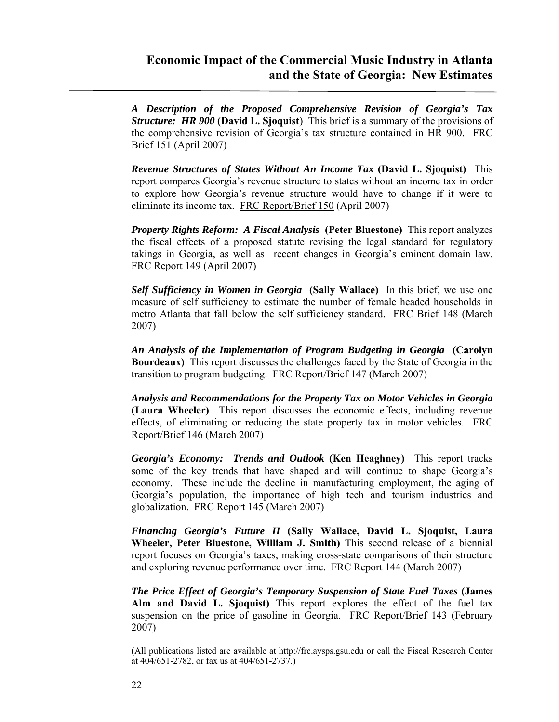*A Description of the Proposed Comprehensive Revision of Georgia's Tax Structure: HR 900* **(David L. Sjoquist**) This brief is a summary of the provisions of the comprehensive revision of Georgia's tax structure contained in HR 900. FRC Brief 151 (April 2007)

*Revenue Structures of States Without An Income Tax* **(David L. Sjoquist)** This report compares Georgia's revenue structure to states without an income tax in order to explore how Georgia's revenue structure would have to change if it were to eliminate its income tax. FRC Report/Brief 150 (April 2007)

*Property Rights Reform: A Fiscal Analysis* **(Peter Bluestone)** This report analyzes the fiscal effects of a proposed statute revising the legal standard for regulatory takings in Georgia, as well as recent changes in Georgia's eminent domain law. FRC Report 149 (April 2007)

*Self Sufficiency in Women in Georgia* **(Sally Wallace)** In this brief, we use one measure of self sufficiency to estimate the number of female headed households in metro Atlanta that fall below the self sufficiency standard. FRC Brief 148 (March 2007)

*An Analysis of the Implementation of Program Budgeting in Georgia* **(Carolyn Bourdeaux)** This report discusses the challenges faced by the State of Georgia in the transition to program budgeting. FRC Report/Brief 147 (March 2007)

*Analysis and Recommendations for the Property Tax on Motor Vehicles in Georgia* **(Laura Wheeler)** This report discusses the economic effects, including revenue effects, of eliminating or reducing the state property tax in motor vehicles. FRC Report/Brief 146 (March 2007)

*Georgia's Economy: Trends and Outlook* **(Ken Heaghney)** This report tracks some of the key trends that have shaped and will continue to shape Georgia's economy. These include the decline in manufacturing employment, the aging of Georgia's population, the importance of high tech and tourism industries and globalization. FRC Report 145 (March 2007)

*Financing Georgia's Future II* **(Sally Wallace, David L. Sjoquist, Laura Wheeler, Peter Bluestone, William J. Smith)** This second release of a biennial report focuses on Georgia's taxes, making cross-state comparisons of their structure and exploring revenue performance over time.FRC Report 144 (March 2007)

*The Price Effect of Georgia's Temporary Suspension of State Fuel Taxes* **(James Alm and David L. Sjoquist)** This report explores the effect of the fuel tax suspension on the price of gasoline in Georgia. FRC Report/Brief 143 (February 2007)

(All publications listed are available at http://frc.aysps.gsu.edu or call the Fiscal Research Center at 404/651-2782, or fax us at 404/651-2737.)